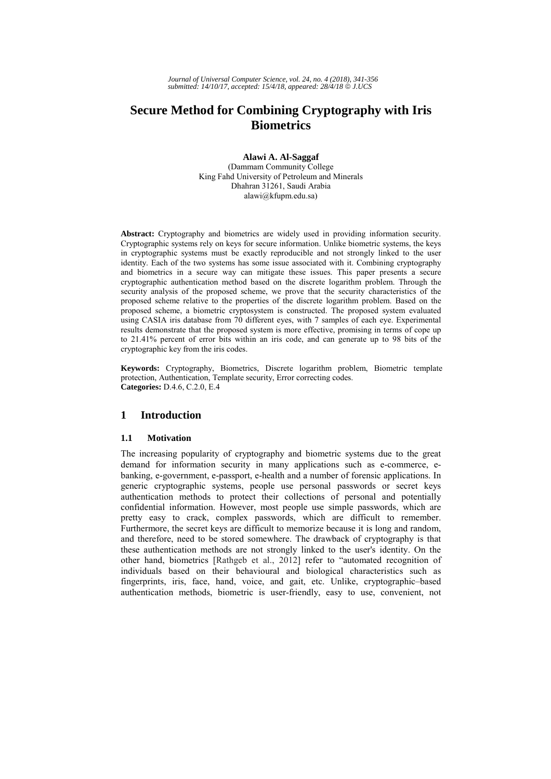# **Secure Method for Combining Cryptography with Iris Biometrics**

**Alawi A. Al-Saggaf**  (Dammam Community College King Fahd University of Petroleum and Minerals Dhahran 31261, Saudi Arabia alawi@kfupm.edu.sa)

**Abstract:** Cryptography and biometrics are widely used in providing information security. Cryptographic systems rely on keys for secure information. Unlike biometric systems, the keys in cryptographic systems must be exactly reproducible and not strongly linked to the user identity. Each of the two systems has some issue associated with it. Combining cryptography and biometrics in a secure way can mitigate these issues. This paper presents a secure cryptographic authentication method based on the discrete logarithm problem. Through the security analysis of the proposed scheme, we prove that the security characteristics of the proposed scheme relative to the properties of the discrete logarithm problem. Based on the proposed scheme, a biometric cryptosystem is constructed. The proposed system evaluated using CASIA iris database from 70 different eyes, with 7 samples of each eye. Experimental results demonstrate that the proposed system is more effective, promising in terms of cope up to 21.41% percent of error bits within an iris code, and can generate up to 98 bits of the cryptographic key from the iris codes.

**Keywords:** Cryptography, Biometrics, Discrete logarithm problem, Biometric template protection, Authentication, Template security, Error correcting codes. **Categories:** D.4.6, C.2.0, E.4

# **1 Introduction**

## **1.1 Motivation**

The increasing popularity of cryptography and biometric systems due to the great demand for information security in many applications such as e-commerce, ebanking, e-government, e-passport, e-health and a number of forensic applications. In generic cryptographic systems, people use personal passwords or secret keys authentication methods to protect their collections of personal and potentially confidential information. However, most people use simple passwords, which are pretty easy to crack, complex passwords, which are difficult to remember. Furthermore, the secret keys are difficult to memorize because it is long and random, and therefore, need to be stored somewhere. The drawback of cryptography is that these authentication methods are not strongly linked to the user's identity. On the other hand, biometrics [Rathgeb et al., 2012] refer to "automated recognition of individuals based on their behavioural and biological characteristics such as fingerprints, iris, face, hand, voice, and gait, etc. Unlike, cryptographic–based authentication methods, biometric is user-friendly, easy to use, convenient, not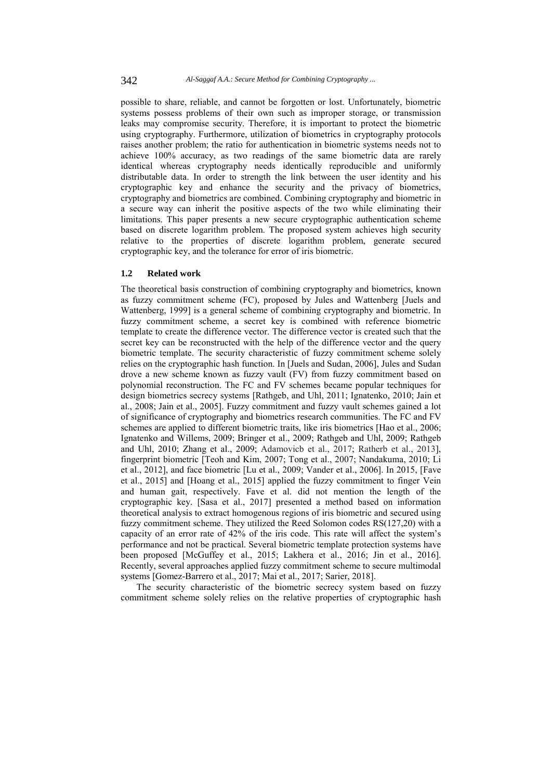possible to share, reliable, and cannot be forgotten or lost. Unfortunately, biometric systems possess problems of their own such as improper storage, or transmission leaks may compromise security. Therefore, it is important to protect the biometric using cryptography. Furthermore, utilization of biometrics in cryptography protocols raises another problem; the ratio for authentication in biometric systems needs not to achieve 100% accuracy, as two readings of the same biometric data are rarely identical whereas cryptography needs identically reproducible and uniformly distributable data. In order to strength the link between the user identity and his cryptographic key and enhance the security and the privacy of biometrics, cryptography and biometrics are combined. Combining cryptography and biometric in a secure way can inherit the positive aspects of the two while eliminating their limitations. This paper presents a new secure cryptographic authentication scheme based on discrete logarithm problem. The proposed system achieves high security relative to the properties of discrete logarithm problem, generate secured cryptographic key, and the tolerance for error of iris biometric.

#### **1.2 Related work**

The theoretical basis construction of combining cryptography and biometrics, known as fuzzy commitment scheme (FC), proposed by Jules and Wattenberg [Juels and Wattenberg, 1999] is a general scheme of combining cryptography and biometric. In fuzzy commitment scheme, a secret key is combined with reference biometric template to create the difference vector. The difference vector is created such that the secret key can be reconstructed with the help of the difference vector and the query biometric template. The security characteristic of fuzzy commitment scheme solely relies on the cryptographic hash function. In [Juels and Sudan, 2006], Jules and Sudan drove a new scheme known as fuzzy vault (FV) from fuzzy commitment based on polynomial reconstruction. The FC and FV schemes became popular techniques for design biometrics secrecy systems [Rathgeb, and Uhl, 2011; Ignatenko, 2010; Jain et al., 2008; Jain et al., 2005]. Fuzzy commitment and fuzzy vault schemes gained a lot of significance of cryptography and biometrics research communities. The FC and FV schemes are applied to different biometric traits, like iris biometrics [Hao et al., 2006; Ignatenko and Willems, 2009; Bringer et al., 2009; Rathgeb and Uhl, 2009; Rathgeb and Uhl, 2010; Zhang et al., 2009; Adamovicb et al., 2017; Ratherb et al., 2013], fingerprint biometric [Teoh and Kim, 2007; Tong et al., 2007; Nandakuma, 2010; Li et al., 2012], and face biometric [Lu et al., 2009; Vander et al., 2006]. In 2015, [Fave et al., 2015] and [Hoang et al., 2015] applied the fuzzy commitment to finger Vein and human gait, respectively. Fave et al. did not mention the length of the cryptographic key. [Sasa et al., 2017] presented a method based on information theoretical analysis to extract homogenous regions of iris biometric and secured using fuzzy commitment scheme. They utilized the Reed Solomon codes RS(127,20) with a capacity of an error rate of 42% of the iris code. This rate will affect the system's performance and not be practical. Several biometric template protection systems have been proposed [McGuffey et al., 2015; Lakhera et al., 2016; Jin et al., 2016]. Recently, several approaches applied fuzzy commitment scheme to secure multimodal systems [Gomez-Barrero et al., 2017; Mai et al., 2017; Sarier, 2018].

The security characteristic of the biometric secrecy system based on fuzzy commitment scheme solely relies on the relative properties of cryptographic hash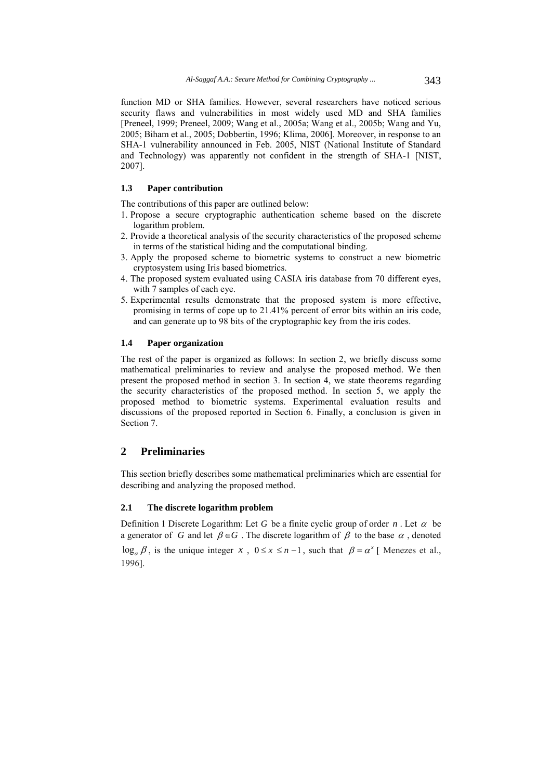function MD or SHA families. However, several researchers have noticed serious security flaws and vulnerabilities in most widely used MD and SHA families [Preneel, 1999; Preneel, 2009; Wang et al., 2005a; Wang et al., 2005b; Wang and Yu, 2005; Biham et al., 2005; Dobbertin, 1996; Klima, 2006]. Moreover, in response to an SHA-1 vulnerability announced in Feb. 2005, NIST (National Institute of Standard and Technology) was apparently not confident in the strength of SHA-1 [NIST, 2007].

# **1.3 Paper contribution**

The contributions of this paper are outlined below:

- 1. Propose a secure cryptographic authentication scheme based on the discrete logarithm problem.
- 2. Provide a theoretical analysis of the security characteristics of the proposed scheme in terms of the statistical hiding and the computational binding.
- 3. Apply the proposed scheme to biometric systems to construct a new biometric cryptosystem using Iris based biometrics.
- 4. The proposed system evaluated using CASIA iris database from 70 different eyes, with 7 samples of each eye.
- 5. Experimental results demonstrate that the proposed system is more effective, promising in terms of cope up to 21.41% percent of error bits within an iris code, and can generate up to 98 bits of the cryptographic key from the iris codes.

### **1.4 Paper organization**

The rest of the paper is organized as follows: In section 2, we briefly discuss some mathematical preliminaries to review and analyse the proposed method. We then present the proposed method in section 3. In section 4, we state theorems regarding the security characteristics of the proposed method. In section 5, we apply the proposed method to biometric systems. Experimental evaluation results and discussions of the proposed reported in Section 6. Finally, a conclusion is given in Section 7.

# **2 Preliminaries**

This section briefly describes some mathematical preliminaries which are essential for describing and analyzing the proposed method.

#### **2.1 The discrete logarithm problem**

Definition 1 Discrete Logarithm: Let *G* be a finite cyclic group of order *n*. Let  $\alpha$  be a generator of *G* and let  $\beta \in G$ . The discrete logarithm of  $\beta$  to the base  $\alpha$ , denoted  $\log_{a} \beta$ , is the unique integer *x*,  $0 \le x \le n-1$ , such that  $\beta = \alpha^{x}$  Menezes et al. 1996].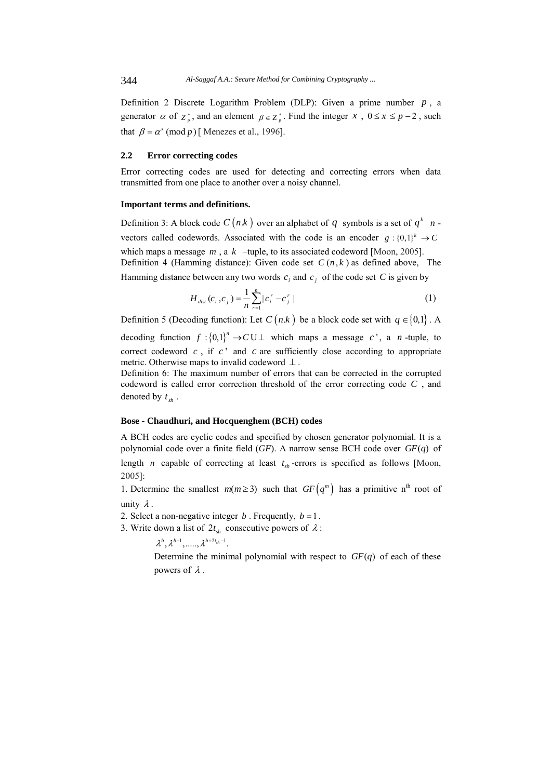Definition 2 Discrete Logarithm Problem (DLP): Given a prime number  $p$ , a generator  $\alpha$  of  $z^*$ , and an element  $\beta \in z^*$ . Find the integer *x*,  $0 \le x \le p-2$ , such that  $\beta = \alpha^x \pmod{p}$  [Menezes et al., 1996].

#### **2.2 Error correcting codes**

Error correcting codes are used for detecting and correcting errors when data transmitted from one place to another over a noisy channel.

#### **Important terms and definitions.**

Definition 3: A block code  $C(n,k)$  over an alphabet of q symbols is a set of  $q^k$   $n$  vectors called codewords. Associated with the code is an encoder  $g: \{0,1\}^k \rightarrow C$ which maps a message  $m$ , a  $k$  –tuple, to its associated codeword [Moon, 2005]. Definition 4 (Hamming distance): Given code set  $C(n, k)$  as defined above, The

Hamming distance between any two words  $c_i$  and  $c_j$  of the code set C is given by

$$
H_{\text{dist}}(c_i, c_j) = \frac{1}{n} \sum_{r=1}^{n} |c_i^r - c_j^r|
$$
 (1)

Definition 5 (Decoding function): Let  $C(n,k)$  be a block code set with  $q \in \{0,1\}$ . A

decoding function  $f: \{0,1\}^n \to C \cup \bot$  which maps a message *c*<sup>1</sup>, a *n*-tuple, to correct codeword  $c$ , if  $c'$  and  $c$  are sufficiently close according to appropriate metric. Otherwise maps to invalid codeword  $\perp$ .

Definition 6: The maximum number of errors that can be corrected in the corrupted codeword is called error correction threshold of the error correcting code *C* , and denoted by  $t_{sh}$ .

### **Bose - Chaudhuri, and Hocquenghem (BCH) codes**

A BCH codes are cyclic codes and specified by chosen generator polynomial. It is a polynomial code over a finite field  $(GF)$ . A narrow sense BCH code over  $GF(q)$  of length *n* capable of correcting at least  $t_{sh}$  -errors is specified as follows [Moon, 2005]:

1. Determine the smallest  $m(m \geq 3)$  such that  $GF(q^m)$  has a primitive n<sup>th</sup> root of unity  $\lambda$ .

2. Select a non-negative integer  $b$ . Frequently,  $b = 1$ .

3. Write down a list of  $2t_{sh}$  consecutive powers of  $\lambda$ :

 $\lambda^b$ ,  $\lambda^{b+1}$ ,  $\ldots$ ,  $\lambda^{b+2t_{sh}-1}$ .

Determine the minimal polynomial with respect to  $GF(q)$  of each of these powers of  $\lambda$ .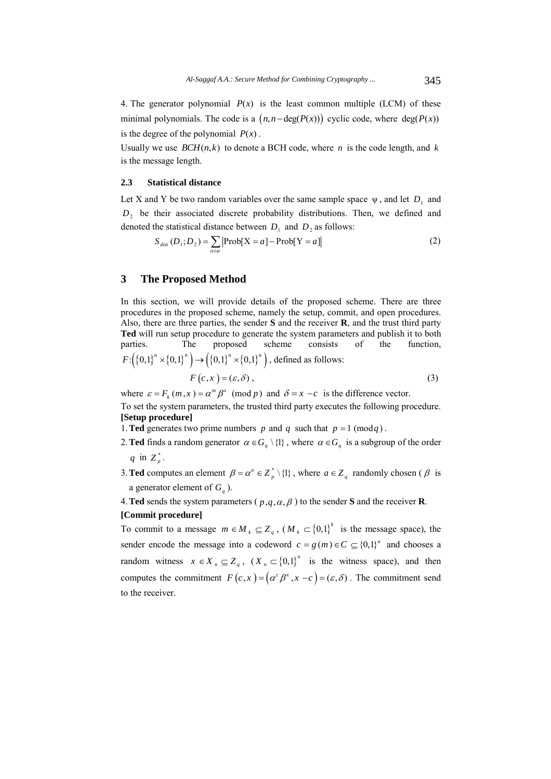4. The generator polynomial  $P(x)$  is the least common multiple (LCM) of these minimal polynomials. The code is a  $(n, n-\deg(P(x)))$  cyclic code, where  $deg(P(x))$ is the degree of the polynomial  $P(x)$ .

Usually we use  $BCH(n,k)$  to denote a BCH code, where *n* is the code length, and *k* is the message length.

#### **2.3 Statistical distance**

Let X and Y be two random variables over the same sample space  $\psi$ , and let  $D_1$  and *D*<sub>2</sub> be their associated discrete probability distributions. Then, we defined and denoted the statistical distance between  $D_1$  and  $D_2$  as follows:

$$
S_{dist}(D_1; D_2) = \sum_{a \in \psi} \left| \text{Prob}[X = a] - \text{Prob}[Y = a] \right| \tag{2}
$$

### **3 The Proposed Method**

In this section, we will provide details of the proposed scheme. There are three procedures in the proposed scheme, namely the setup, commit, and open procedures. Also, there are three parties, the sender **S** and the receiver **R**, and the trust third party **Ted** will run setup procedure to generate the system parameters and publish it to both parties. The proposed scheme consists of the function,  $F: ({0,1}^n \times {0,1}^n) \to ({0,1}^n \times {0,1}^n)$ , defined as follows:

$$
F(c, x) = (\varepsilon, \delta), \tag{3}
$$

where  $\varepsilon = F_k(m, x) = \alpha^m \beta^x \pmod{p}$  and  $\delta = x - c$  is the difference vector. To set the system parameters, the trusted third party executes the following procedure. **[Setup procedure]** 

1. **Ted** generates two prime numbers  $p$  and  $q$  such that  $p = 1 \pmod{q}$ .

- 2. **Ted** finds a random generator  $\alpha \in G_q \setminus \{1\}$ , where  $\alpha \in G_q$  is a subgroup of the order  $q$  in  $Z_n^*$ .
- 3. **Ted** computes an element  $\beta = \alpha^a \in Z_p^* \setminus \{1\}$ , where  $a \in Z_q$  randomly chosen ( $\beta$  is a generator element of  $G_a$ ).

4. Ted sends the system parameters ( $p, q, \alpha, \beta$ ) to the sender **S** and the receiver **R**.

#### **[Commit procedure]**

To commit to a message  $m \in M_k \subseteq Z_q$ ,  $(M_k \subset \{0,1\}^k$  is the message space), the sender encode the message into a codeword  $c = g(m) \in C \subseteq \{0,1\}^n$  and chooses a random witness  $x \in X_n \subseteq Z_q$ ,  $(X_n \subset \{0,1\}^n)$  is the witness space), and then computes the commitment  $F(c, x) = (\alpha^c \beta^x, x - c) = (\varepsilon, \delta)$ . The commitment send to the receiver.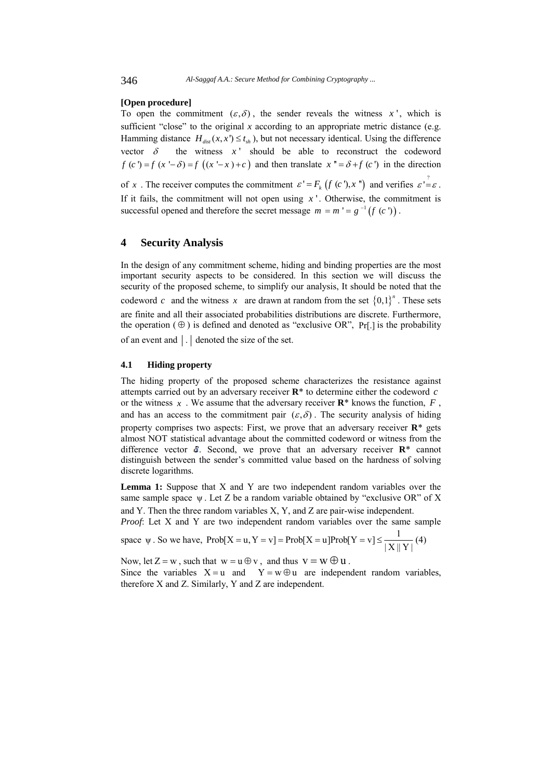#### **[Open procedure]**

To open the commitment  $(\varepsilon, \delta)$ , the sender reveals the witness x', which is sufficient "close" to the original  $x$  according to an appropriate metric distance (e.g. Hamming distance  $H_{div}(x, x') \le t_{ch}$ , but not necessary identical. Using the difference vector  $\delta$  the witness  $x'$  should be able to reconstruct the codeword  $f(c') = f(x' - \delta) = f((x' - x) + c)$  and then translate  $x'' = \delta + f(c')$  in the direction of *x* . The receiver computes the commitment  $\varepsilon' = F_k (f (c^r), x^r)$  and verifies  $\varepsilon' = \varepsilon$ . If it fails, the commitment will not open using  $x<sup>1</sup>$ . Otherwise, the commitment is successful opened and therefore the secret message  $m = m' = g^{-1}(f(c'))$ .

# **4 Security Analysis**

In the design of any commitment scheme, hiding and binding properties are the most important security aspects to be considered. In this section we will discuss the security of the proposed scheme, to simplify our analysis, It should be noted that the codeword *c* and the witness *x* are drawn at random from the set  $\{0,1\}^n$ . These sets are finite and all their associated probabilities distributions are discrete. Furthermore, the operation  $(\oplus)$  is defined and denoted as "exclusive OR", Pr[.] is the probability of an event and  $\vert \cdot \vert$  denoted the size of the set.

#### **4.1 Hiding property**

The hiding property of the proposed scheme characterizes the resistance against attempts carried out by an adversary receiver **R**\* to determine either the codeword *c* or the witness  $x$ . We assume that the adversary receiver  $\mathbb{R}^*$  knows the function,  $F$ , and has an access to the commitment pair  $(\varepsilon, \delta)$ . The security analysis of hiding property comprises two aspects: First, we prove that an adversary receiver **R**\* gets almost NOT statistical advantage about the committed codeword or witness from the difference vector  $\delta$ . Second, we prove that an adversary receiver  $\mathbb{R}^*$  cannot distinguish between the sender's committed value based on the hardness of solving discrete logarithms.

**Lemma 1:** Suppose that X and Y are two independent random variables over the same sample space  $\psi$ . Let Z be a random variable obtained by "exclusive OR" of X and Y. Then the three random variables X, Y, and Z are pair-wise independent.

*Proof*: Let X and Y are two independent random variables over the same sample

space  $\psi$ . So we have,  $Prob[X = u, Y = v] = Prob[X = u]Prob[Y = v] \le \frac{1}{|X||Y|}(4)$ 

Now, let  $Z = w$ , such that  $w = u \oplus v$ , and thus  $v = w \oplus u$ .

Since the variables  $X = u$  and  $Y = w \oplus u$  are independent random variables, therefore X and Z. Similarly, Y and Z are independent.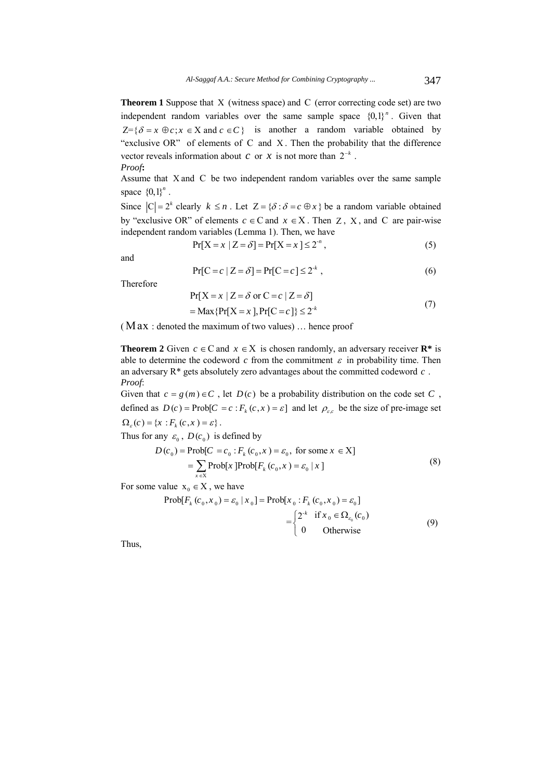**Theorem 1** Suppose that X (witness space) and C (error correcting code set) are two independent random variables over the same sample space  ${0,1}^n$ . Given that  $Z = \{ \delta = x \oplus c; x \in X \text{ and } c \in C \}$  is another a random variable obtained by "exclusive OR" of elements of  $C$  and  $X$ . Then the probability that the difference vector reveals information about *c* or *x* is not more than  $2^{-k}$ . *Proof***:** 

Assume that X and C be two independent random variables over the same sample space  ${0, 1}^n$ .

Since  $|C| = 2^k$  clearly  $k \le n$ . Let  $Z = \{\delta : \delta = c \oplus x\}$  be a random variable obtained by "exclusive OR" of elements  $c \in C$  and  $x \in X$ . Then Z, X, and C are pair-wise independent random variables (Lemma 1). Then, we have

$$
Pr[X = x \mid Z = \delta] = Pr[X = x] \le 2^{n},
$$
\n(5)

and

$$
Pr[C = c | Z = \delta] = Pr[C = c] \le 2^{k}, \qquad (6)
$$

Therefore

$$
Pr[X = x | Z = \delta \text{ or } C = c | Z = \delta]
$$
  
= Max {Pr[X = x], Pr[C = c]}  $\leq 2^{k}$  (7)

(  $Max:$  denoted the maximum of two values)  $\ldots$  hence proof

**Theorem 2** Given  $c \in \mathbb{C}$  and  $x \in \mathbb{X}$  is chosen randomly, an adversary receiver  $\mathbb{R}^*$  is able to determine the codeword  $c$  from the commitment  $\varepsilon$  in probability time. Then an adversary R\* gets absolutely zero advantages about the committed codeword *c* . *Proof*:

Given that  $c = g(m) \in C$ , let  $D(c)$  be a probability distribution on the code set C, defined as  $D(c) = \text{Prob}[C = c : F_k(c, x) = \varepsilon]$  and let  $\rho_{\varepsilon,c}$  be the size of pre-image set  $\Omega_{\varepsilon}(c) = \{x : F_k(c, x) = \varepsilon\}.$ 

Thus for any  $\varepsilon_0$ ,  $D(c_0)$  is defined by

$$
D(c_0) = \text{Prob}[C = c_0 : F_k(c_0, x) = \varepsilon_0, \text{ for some } x \in X]
$$
  
= 
$$
\sum_{x \in X} \text{Prob}[x] \text{Prob}[F_k(c_0, x) = \varepsilon_0 | x]
$$
 (8)

For some value  $x_0 \in X$ , we have

$$
\text{Prob}[F_k(c_0, x_0) = \varepsilon_0 \mid x_0] = \text{Prob}[x_0 : F_k(c_0, x_0) = \varepsilon_0]
$$
  
= 
$$
\begin{cases} 2^{-k} & \text{if } x_0 \in \Omega_{\varepsilon_0}(c_0) \\ 0 & \text{Otherwise} \end{cases}
$$
 (9)

Thus,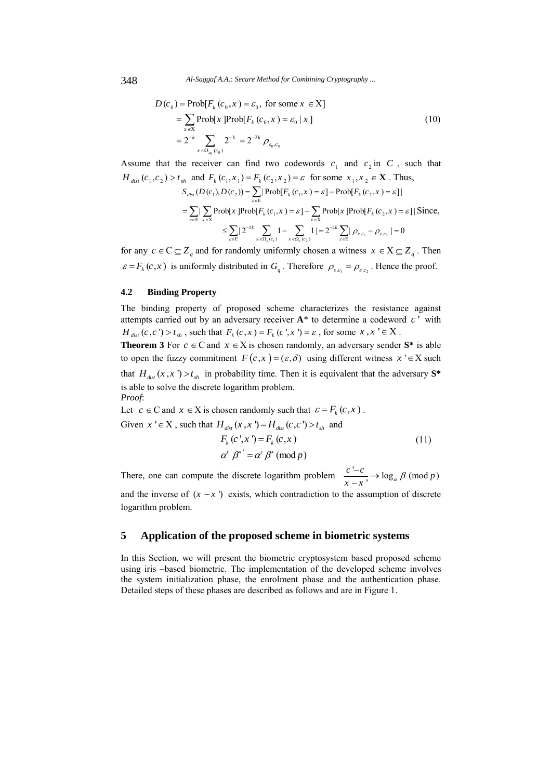348 *Al-Saggaf A.A.: Secure Method for Combining Cryptography ...*

$$
D(c_0) = \text{Prob}[F_k(c_0, x) = \varepsilon_0, \text{ for some } x \in X]
$$
  
= 
$$
\sum_{x \in X} \text{Prob}[x] \text{Prob}[F_k(c_0, x) = \varepsilon_0 | x]
$$
  
= 
$$
2^{-k} \sum_{x \in \Omega_{\text{eq}}(c_0)} 2^{-k} = 2^{-2k} \rho_{\varepsilon_0, c_0}
$$
 (10)

Assume that the receiver can find two codewords  $c_1$  and  $c_2$  in C, such that  $H_{dist}(c_1, c_2) > t_{sh}$  and  $F_k(c_1, x_1) = F_k(c_2, x_2) = \varepsilon$  for some  $x_1, x_2 \in \mathbf{X}$ . Thus, 1)  $x \in \Omega_{\varepsilon}(c_2)$   $\qquad \qquad \varepsilon \in E$   $\qquad \qquad$   $\qquad \qquad$   $\qquad \varepsilon \in E$  $S_{dist}(D(c_1), D(c_2)) = \sum_{\varepsilon \in E} |\operatorname{Prob}[F_k(c_1, x) = \varepsilon] - \operatorname{Prob}[F_k(c_2, x) = \varepsilon]|$  $\sum_{\varepsilon \in \mathbb{E}} \sum_{x \in \mathbb{X}} \text{Prob}[x] \text{Prob}[F_k(c_1, x) = \varepsilon] - \sum_{x \in \mathbb{X}} \text{Prob}[x] \text{Prob}[F_k(c_2, x) = \varepsilon]$  $\leq \sum_{\varepsilon \in \mathbb{E}} | 2^{-2k} \sum_{x \in \Omega_{\varepsilon}(c_1)} 1 - \sum_{x \in \Omega_{\varepsilon}(c_2)} 1 | = 2^{-2k} \sum_{\varepsilon \in \mathbb{E}} | \rho_{\varepsilon,c_1} - \rho_{\varepsilon,c_2} | = 0$  $\varepsilon$  = Proble  $F_i$  ( $c_2$ ,  $x_i$ ) =  $\varepsilon$  $\varepsilon$ I – > Probix Probit,  $(c_2, x) = \varepsilon$ =  $\sum_{\varepsilon \in E}$  | Prob[ $F_k$  ( $c_1$ , $x$ ) =  $\varepsilon$ ] – Prob[ $F_k$  ( $c_2$ , $x$ ) =  $=\sum_{\varepsilon\in E} \left|\sum_{x\in X} \text{Prob}[x] \text{Prob}[F_k(c_1, x) = \varepsilon\right] - \sum_{x\in X} \text{Prob}[x] \text{Prob}[F_k(c_2, x) = \varepsilon] |\text{Since,}$  $\leq \sum_{\varepsilon \in E} |2^{-2k} \sum_{x \in \Omega_{\varepsilon}(c_1)} 1 - \sum_{x \in \Omega_{\varepsilon}(c_2)} 1| = 2^{-2k} \sum_{\varepsilon \in E} |\rho_{\varepsilon,c_1} - \rho_{\varepsilon,c_2}| =$ 

for any  $c \in \mathbb{C} \subseteq \mathbb{Z}_q$  and for randomly uniformly chosen a witness  $x \in X \subseteq \mathbb{Z}_q$ . Then  $\varepsilon = F_k(c, x)$  is uniformly distributed in  $G_q$ . Therefore  $\rho_{\varepsilon,c_1} = \rho_{\varepsilon,c_2}$ . Hence the proof.

#### **4.2 Binding Property**

The binding property of proposed scheme characterizes the resistance against attempts carried out by an adversary receiver  $A^*$  to determine a codeword  $c'$  with  $H_{dist}(c, c') > t_{sh}$ , such that  $F_k(c, x) = F_k(c', x') = \varepsilon$ , for some  $x, x' \in X$ .

**Theorem 3** For  $c \in \mathbb{C}$  and  $x \in \mathbb{X}$  is chosen randomly, an adversary sender  $\mathbb{S}^*$  is able to open the fuzzy commitment  $F(c, x) = (ε, δ)$  using different witness  $x' \in X$  such that  $H_{dist}(x, x') > t_{sh}$  in probability time. Then it is equivalent that the adversary  $S^*$ is able to solve the discrete logarithm problem. *Proof*:

Let  $c \in \mathbb{C}$  and  $x \in \mathbb{X}$  is chosen randomly such that  $\varepsilon = F_k(c, x)$ . Given  $x' \in X$ , such that  $H_{dist}(x, x') = H_{dist}(c, c') > t_{sh}$  and

$$
F_k(c',x') = F_k(c,x)
$$
  
\n
$$
\alpha^{c'}\beta^{x'} = \alpha^c\beta^x \pmod{p}
$$
\n(11)

There, one can compute the discrete logarithm problem  $\frac{c' - c}{x - x} \to \log_a \beta \pmod{p}$ and the inverse of  $(x - x')$  exists, which contradiction to the assumption of discrete logarithm problem.

# **5 Application of the proposed scheme in biometric systems**

In this Section, we will present the biometric cryptosystem based proposed scheme using iris –based biometric. The implementation of the developed scheme involves the system initialization phase, the enrolment phase and the authentication phase. Detailed steps of these phases are described as follows and are in Figure 1.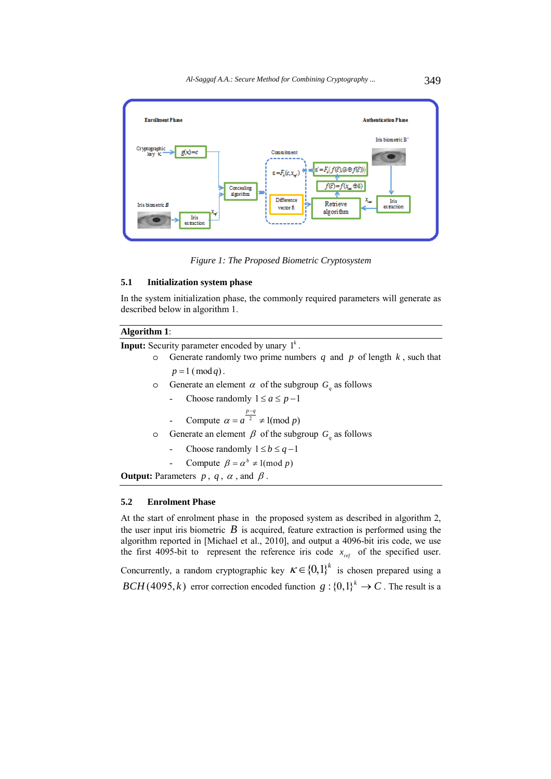

*Figure 1: The Proposed Biometric Cryptosystem* 

### **5.1 Initialization system phase**

In the system initialization phase, the commonly required parameters will generate as described below in algorithm 1.

## **Algorithm 1**:

**Input:** Security parameter encoded by unary  $1^k$ .

- o Generate randomly two prime numbers  $q$  and  $p$  of length  $k$ , such that  $p = 1 \pmod{q}$ .
- o Generate an element  $\alpha$  of the subgroup  $G_a$  as follows
	- Choose randomly  $1 \le a \le p-1$
	- Compute  $\alpha = a^{\frac{p-q}{2}} \neq 1 \pmod{p}$  $= a^{\frac{p-q}{2}} \neq$
- o Generate an element  $\beta$  of the subgroup  $G<sub>q</sub>$  as follows
	- Choose randomly  $1 \le b \le q-1$
	- Compute  $\beta = \alpha^b \neq 1 \pmod{p}$

**Output:** Parameters  $p$ ,  $q$ ,  $\alpha$ , and  $\beta$ .

## **5.2 Enrolment Phase**

At the start of enrolment phase in the proposed system as described in algorithm 2, the user input iris biometric  $B$  is acquired, feature extraction is performed using the algorithm reported in [Michael et al., 2010], and output a 4096-bit iris code, we use the first 4095-bit to represent the reference iris code  $x_{\text{ref}}$  of the specified user.

Concurrently, a random cryptographic key  $K \in \{0,1\}^k$  is chosen prepared using a *BCH* (4095, *k*) error correction encoded function  $g: \{0,1\}^k \to C$ . The result is a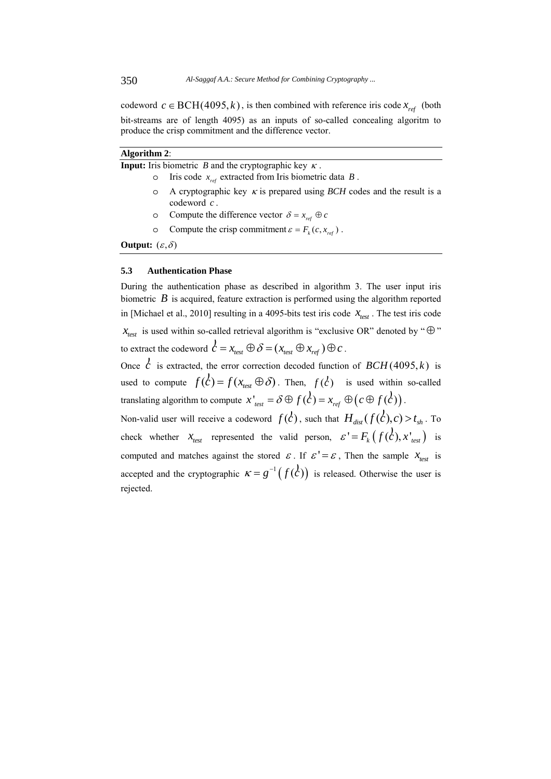codeword  $c \in \text{BCH}(4095, k)$ , is then combined with reference iris code  $x_{ref}$  (both bit-streams are of length 4095) as an inputs of so-called concealing algoritm to produce the crisp commitment and the difference vector.

| <b>Algorithm 2:</b>                                                 |                                                                                                       |  |  |  |  |
|---------------------------------------------------------------------|-------------------------------------------------------------------------------------------------------|--|--|--|--|
| <b>Input:</b> Iris biometric B and the cryptographic key $\kappa$ . |                                                                                                       |  |  |  |  |
| $\circ$                                                             | Iris code $x_{ref}$ extracted from Iris biometric data $B$ .                                          |  |  |  |  |
| $\circ$                                                             | A cryptographic key $\kappa$ is prepared using <i>BCH</i> codes and the result is a<br>codeword $c$ . |  |  |  |  |
| $\circ$                                                             | Compute the difference vector $\delta = x_{ref} \oplus c$                                             |  |  |  |  |
| $\circ$                                                             | Compute the crisp commitment $\varepsilon = F_k(c, x_{ref})$ .                                        |  |  |  |  |
| <b>Output:</b> $(\varepsilon, \delta)$                              |                                                                                                       |  |  |  |  |

### **5.3 Authentication Phase**

During the authentication phase as described in algorithm 3. The user input iris biometric *B* is acquired, feature extraction is performed using the algorithm reported in [Michael et al., 2010] resulting in a 4095-bits test iris code  $x_{test}$ . The test iris code  $x_{test}$  is used within so-called retrieval algorithm is "exclusive OR" denoted by " $\oplus$ " to extract the codeword  $c = x_{\text{test}} \oplus \delta = (x_{\text{test}} \oplus x_{\text{ref}}) \oplus c$ .

Once  $\vec{c}$  is extracted, the error correction decoded function of  $BCH(4095, k)$  is used to compute  $f(\vec{c}) = f(x_{test} \oplus \delta)$ . Then,  $f(\vec{c})$  is used within so-called translating algorithm to compute  $x'_{test} = \delta \oplus f(\epsilon) = x_{ref} \oplus (c \oplus f(\epsilon))$ .

Non-valid user will receive a codeword  $f(c)$ , such that  $H_{dist}( f(c), c) > t_{sh}$ . To check whether  $x_{test}$  represented the valid person,  $\varepsilon' = F_k(f(\mathcal{C}), x'_{test})$  is computed and matches against the stored  $\epsilon$ . If  $\epsilon' = \epsilon$ , Then the sample  $x_{\text{test}}$  is accepted and the cryptographic  $\kappa = g^{-1}(f(\vec{c}))$  is released. Otherwise the user is rejected.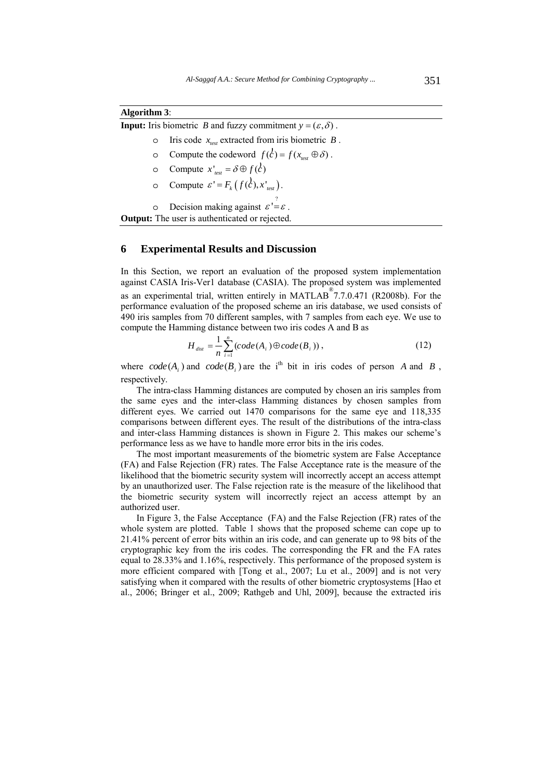| <b>Algorithm 3:</b> |
|---------------------|
|---------------------|

|  |  | <b>Input:</b> Iris biometric <i>B</i> and fuzzy commitment $y = (\varepsilon, \delta)$ . |
|--|--|------------------------------------------------------------------------------------------|
|--|--|------------------------------------------------------------------------------------------|

- o Iris code  $x_{\text{test}}$  extracted from iris biometric *B*.
- o Compute the codeword  $f(c) = f(x_{test} \oplus \delta)$ .
- o Compute  $x'_{test} = \delta \oplus f(c)$
- $\circ$  Compute  $\varepsilon' = F_k(f(\mathcal{C}), x'_{test})$ .

 $\circ$  Decision making against  $\varepsilon' = \varepsilon$ .

**Output:** The user is authenticated or rejected.

### **6 Experimental Results and Discussion**

In this Section, we report an evaluation of the proposed system implementation against CASIA Iris-Ver1 database (CASIA). The proposed system was implemented as an experimental trial, written entirely in MATLAB® 7.7.0.471 (R2008b). For the performance evaluation of the proposed scheme an iris database, we used consists of 490 iris samples from 70 different samples, with 7 samples from each eye. We use to compute the Hamming distance between two iris codes A and B as

$$
H_{dist} = \frac{1}{n} \sum_{i=1}^{n} (code(A_i) \oplus code(B_i)),
$$
\n(12)

where  $code(A_i)$  and  $code(B_i)$  are the i<sup>th</sup> bit in iris codes of person *A* and *B*, respectively.

The intra-class Hamming distances are computed by chosen an iris samples from the same eyes and the inter-class Hamming distances by chosen samples from different eyes. We carried out 1470 comparisons for the same eye and 118,335 comparisons between different eyes. The result of the distributions of the intra-class and inter-class Hamming distances is shown in Figure 2. This makes our scheme's performance less as we have to handle more error bits in the iris codes.

The most important measurements of the biometric system are False Acceptance (FA) and False Rejection (FR) rates. The False Acceptance rate is the measure of the likelihood that the biometric security system will incorrectly accept an access attempt by an unauthorized user. The False rejection rate is the measure of the likelihood that the biometric security system will incorrectly reject an access attempt by an authorized user.

In Figure 3, the False Acceptance (FA) and the False Rejection (FR) rates of the whole system are plotted. Table 1 shows that the proposed scheme can cope up to 21.41% percent of error bits within an iris code, and can generate up to 98 bits of the cryptographic key from the iris codes. The corresponding the FR and the FA rates equal to 28.33% and 1.16%, respectively. This performance of the proposed system is more efficient compared with [Tong et al., 2007; Lu et al., 2009] and is not very satisfying when it compared with the results of other biometric cryptosystems [Hao et al., 2006; Bringer et al., 2009; Rathgeb and Uhl, 2009], because the extracted iris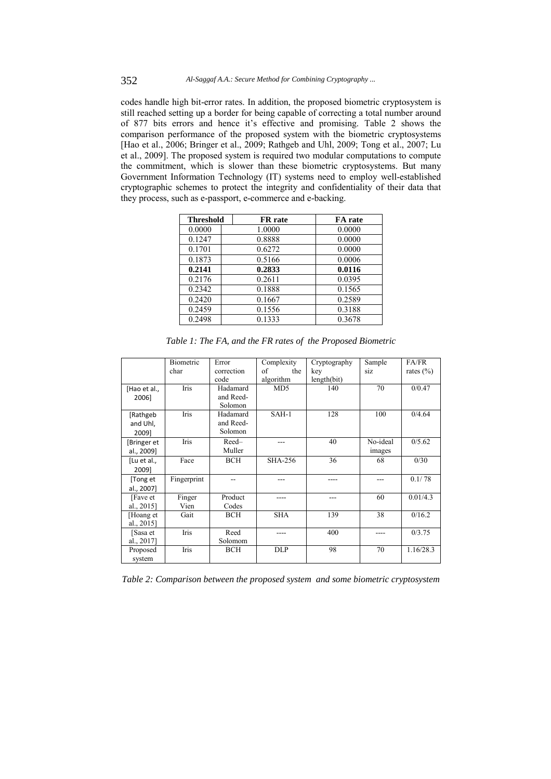codes handle high bit-error rates. In addition, the proposed biometric cryptosystem is still reached setting up a border for being capable of correcting a total number around of 877 bits errors and hence it's effective and promising. Table 2 shows the comparison performance of the proposed system with the biometric cryptosystems [Hao et al., 2006; Bringer et al., 2009; Rathgeb and Uhl, 2009; Tong et al., 2007; Lu et al., 2009]. The proposed system is required two modular computations to compute the commitment, which is slower than these biometric cryptosystems. But many Government Information Technology (IT) systems need to employ well-established cryptographic schemes to protect the integrity and confidentiality of their data that they process, such as e-passport, e-commerce and e-backing.

| <b>Threshold</b> | <b>FR</b> rate | FA rate |  |
|------------------|----------------|---------|--|
| 0.0000           | 1.0000         | 0.0000  |  |
| 0.1247           | 0.8888         | 0.0000  |  |
| 0.1701           | 0.6272         | 0.0000  |  |
| 0.1873           | 0.5166         | 0.0006  |  |
| 0.2141           | 0.2833         | 0.0116  |  |
| 0.2176           | 0.2611         | 0.0395  |  |
| 0.2342           | 0.1888         | 0.1565  |  |
| 0.2420           | 0.1667         | 0.2589  |  |
| 0.2459           | 0.1556         | 0.3188  |  |
| 0.2498           | 0.1333         | 0.3678  |  |

|                               | Biometric      | Error                            | Complexity      | Cryptography | Sample             | FA/FR         |
|-------------------------------|----------------|----------------------------------|-----------------|--------------|--------------------|---------------|
|                               | char           | correction                       | of<br>the       | key          | siz                | rates $(\% )$ |
|                               |                | code                             | algorithm       | length(bit)  |                    |               |
| [Hao et al.,<br>2006]         | Iris           | Hadamard<br>and Reed-<br>Solomon | MD <sub>5</sub> | 140          | 70                 | 0/0.47        |
| [Rathgeb<br>and Uhl,<br>2009] | Iris           | Hadamard<br>and Reed-<br>Solomon | $SAH-1$         | 128          | 100                | 0/4.64        |
| [Bringer et<br>al., 2009]     | Iris           | Reed-<br>Muller                  |                 | 40           | No-ideal<br>images | 0/5.62        |
| [Lu et al.,<br>20091          | Face           | <b>BCH</b>                       | <b>SHA-256</b>  | 36           | 68                 | 0/30          |
| [Tong et<br>al., 2007]        | Fingerprint    |                                  | ---             | ----         |                    | 0.1/78        |
| [Fave et]<br>al., 2015]       | Finger<br>Vien | Product<br>Codes                 |                 | ---          | 60                 | 0.01/4.3      |
| [Hoang et<br>al., 2015]       | Gait           | <b>BCH</b>                       | <b>SHA</b>      | 139          | 38                 | 0/16.2        |
| [Sasa et<br>al., 2017]        | Iris           | Reed<br>Solomom                  |                 | 400          |                    | 0/3.75        |
| Proposed<br>system            | Iris           | <b>BCH</b>                       | <b>DLP</b>      | 98           | 70                 | 1.16/28.3     |

*Table 1: The FA, and the FR rates of the Proposed Biometric* 

*Table 2: Comparison between the proposed system and some biometric cryptosystem*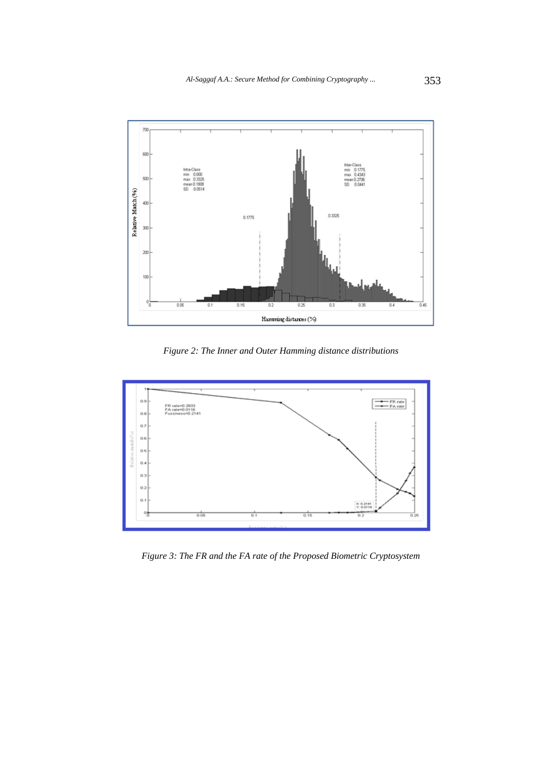

*Figure 2: The Inner and Outer Hamming distance distributions*



*Figure 3: The FR and the FA rate of the Proposed Biometric Cryptosystem*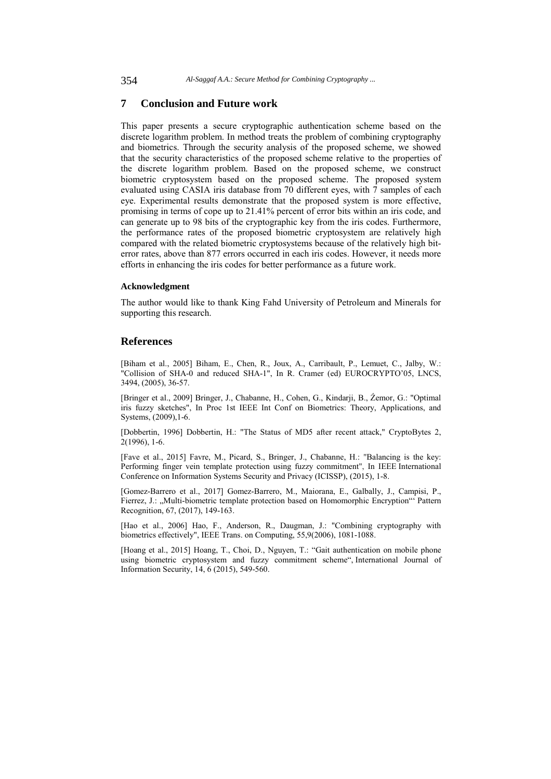# **7 Conclusion and Future work**

This paper presents a secure cryptographic authentication scheme based on the discrete logarithm problem. In method treats the problem of combining cryptography and biometrics. Through the security analysis of the proposed scheme, we showed that the security characteristics of the proposed scheme relative to the properties of the discrete logarithm problem. Based on the proposed scheme, we construct biometric cryptosystem based on the proposed scheme. The proposed system evaluated using CASIA iris database from 70 different eyes, with 7 samples of each eye. Experimental results demonstrate that the proposed system is more effective, promising in terms of cope up to 21.41% percent of error bits within an iris code, and can generate up to 98 bits of the cryptographic key from the iris codes. Furthermore, the performance rates of the proposed biometric cryptosystem are relatively high compared with the related biometric cryptosystems because of the relatively high biterror rates, above than 877 errors occurred in each iris codes. However, it needs more efforts in enhancing the iris codes for better performance as a future work.

#### **Acknowledgment**

The author would like to thank King Fahd University of Petroleum and Minerals for supporting this research.

### **References**

[Biham et al., 2005] Biham, E., Chen, R., Joux, A., Carribault, P., Lemuet, C., Jalby, W.: "Collision of SHA-0 and reduced SHA-1", In R. Cramer (ed) EUROCRYPTO'05, LNCS, 3494, (2005), 36-57.

[Bringer et al., 2009] Bringer, J., Chabanne, H., Cohen, G., Kindarji, B., Źemor, G.: "Optimal iris fuzzy sketches", In Proc 1st IEEE Int Conf on Biometrics: Theory, Applications, and Systems, (2009),1-6.

[Dobbertin, 1996] Dobbertin, H.: "The Status of MD5 after recent attack," CryptoBytes 2,  $2(1996)$ , 1-6.

[Fave et al., 2015] Favre, M., Picard, S., Bringer, J., Chabanne, H.: "Balancing is the key: Performing finger vein template protection using fuzzy commitment", In IEEE International Conference on Information Systems Security and Privacy (ICISSP), (2015), 1-8.

[Gomez-Barrero et al., 2017] Gomez-Barrero, M., Maiorana, E., Galbally, J., Campisi, P., Fierrez, J.: "Multi-biometric template protection based on Homomorphic Encryption" Pattern Recognition, 67, (2017), 149-163.

[Hao et al., 2006] Hao, F., Anderson, R., Daugman, J.: "Combining cryptography with biometrics effectively", IEEE Trans. on Computing, 55,9(2006), 1081-1088.

[Hoang et al., 2015] Hoang, T., Choi, D., Nguyen, T.: "Gait authentication on mobile phone using biometric cryptosystem and fuzzy commitment scheme", International Journal of Information Security, 14, 6 (2015), 549-560.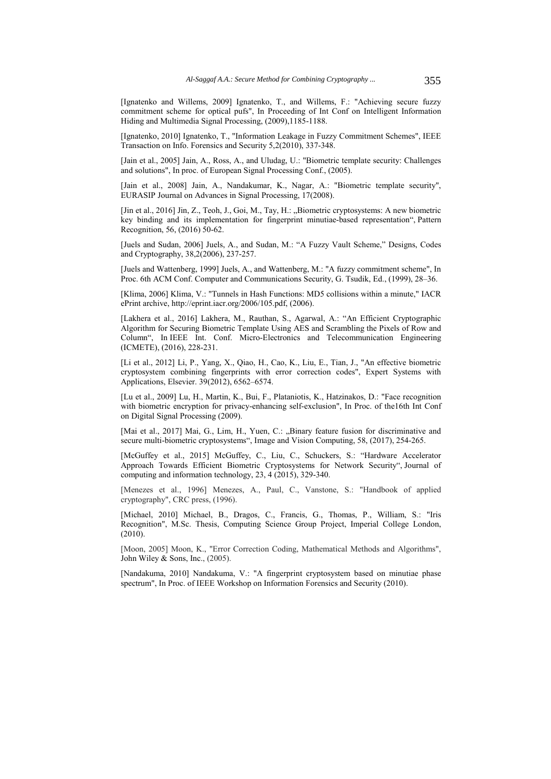[Ignatenko and Willems, 2009] Ignatenko, T., and Willems, F.: "Achieving secure fuzzy commitment scheme for optical pufs", In Proceeding of Int Conf on Intelligent Information Hiding and Multimedia Signal Processing, (2009),1185-1188.

[Ignatenko, 2010] Ignatenko, T., "Information Leakage in Fuzzy Commitment Schemes", IEEE Transaction on Info. Forensics and Security 5,2(2010), 337-348.

[Jain et al., 2005] Jain, A., Ross, A., and Uludag, U.: "Biometric template security: Challenges and solutions", In proc. of European Signal Processing Conf., (2005).

[Jain et al., 2008] Jain, A., Nandakumar, K., Nagar, A.: "Biometric template security", EURASIP Journal on Advances in Signal Processing, 17(2008).

[Jin et al., 2016] Jin, Z., Teoh, J., Goi, M., Tay, H.: "Biometric cryptosystems: A new biometric key binding and its implementation for fingerprint minutiae-based representation", Pattern Recognition, 56, (2016) 50-62.

[Juels and Sudan, 2006] Juels, A., and Sudan, M.: "A Fuzzy Vault Scheme," Designs, Codes and Cryptography, 38,2(2006), 237-257.

[Juels and Wattenberg, 1999] Juels, A., and Wattenberg, M.: "A fuzzy commitment scheme", In Proc. 6th ACM Conf. Computer and Communications Security, G. Tsudik, Ed., (1999), 28–36.

[Klima, 2006] Klima, V.: "Tunnels in Hash Functions: MD5 collisions within a minute," IACR ePrint archive, http://eprint.iacr.org/2006/105.pdf, (2006).

[Lakhera et al., 2016] Lakhera, M., Rauthan, S., Agarwal, A.: "An Efficient Cryptographic Algorithm for Securing Biometric Template Using AES and Scrambling the Pixels of Row and Column", In IEEE Int. Conf. Micro-Electronics and Telecommunication Engineering (ICMETE), (2016), 228-231.

[Li et al., 2012] Li, P., Yang, X., Qiao, H., Cao, K., Liu, E., Tian, J., "An effective biometric cryptosystem combining fingerprints with error correction codes", Expert Systems with Applications, Elsevier. 39(2012), 6562–6574.

[Lu et al., 2009] Lu, H., Martin, K., Bui, F., Plataniotis, K., Hatzinakos, D.: "Face recognition with biometric encryption for privacy-enhancing self-exclusion", In Proc. of the16th Int Conf on Digital Signal Processing (2009).

[Mai et al., 2017] Mai, G., Lim, H., Yuen, C.: "Binary feature fusion for discriminative and secure multi-biometric cryptosystems", Image and Vision Computing, 58, (2017), 254-265.

[McGuffey et al., 2015] McGuffey, C., Liu, C., Schuckers, S.: "Hardware Accelerator Approach Towards Efficient Biometric Cryptosystems for Network Security", Journal of computing and information technology, 23, 4 (2015), 329-340.

[Menezes et al., 1996] Menezes, A., Paul, C., Vanstone, S.: "Handbook of applied cryptography", CRC press, (1996).

[Michael, 2010] Michael, B., Dragos, C., Francis, G., Thomas, P., William, S.: "Iris Recognition", M.Sc. Thesis, Computing Science Group Project, Imperial College London, (2010).

[Moon, 2005] Moon, K., "Error Correction Coding, Mathematical Methods and Algorithms", John Wiley  $&$  Sons, Inc., (2005).

[Nandakuma, 2010] Nandakuma, V.: "A fingerprint cryptosystem based on minutiae phase spectrum", In Proc. of IEEE Workshop on Information Forensics and Security (2010).